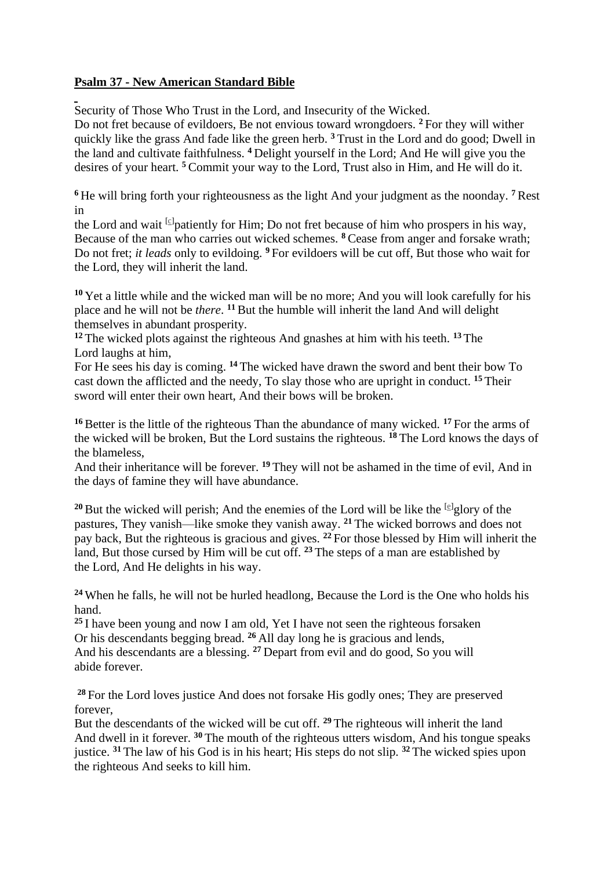## **Psalm 37 - New American Standard Bible**

Security of Those Who Trust in the Lord, and Insecurity of the Wicked.

Do not fret because of evildoers, Be not envious toward wrongdoers. **<sup>2</sup>** For they will wither quickly like the grass And fade like the green herb. **<sup>3</sup>** Trust in the Lord and do good; Dwell in the land and cultivate faithfulness. **<sup>4</sup>** Delight yourself in the Lord; And He will give you the desires of your heart. **<sup>5</sup>** Commit your way to the Lord, Trust also in Him, and He will do it.

**<sup>6</sup>** He will bring forth your righteousness as the light And your judgment as the noonday. **<sup>7</sup>** Rest in

the Lord and wait <sup>[\[c\]](https://www.biblegateway.com/passage/?search=Psalms+37&version=NASB#fen-NASB-14458c)</sup>patiently for Him; Do not fret because of him who prospers in his way, Because of the man who carries out wicked schemes. **<sup>8</sup>** Cease from anger and forsake wrath; Do not fret; *it leads* only to evildoing. **<sup>9</sup>** For evildoers will be cut off, But those who wait for the Lord, they will inherit the land.

**<sup>10</sup>** Yet a little while and the wicked man will be no more; And you will look carefully for his place and he will not be *there*. **<sup>11</sup>** But the humble will inherit the land And will delight themselves in abundant prosperity.

**<sup>12</sup>** The wicked plots against the righteous And gnashes at him with his teeth. **<sup>13</sup>** The Lord laughs at him,

For He sees his day is coming. **<sup>14</sup>** The wicked have drawn the sword and bent their bow To cast down the afflicted and the needy, To slay those who are upright in conduct. **<sup>15</sup>** Their sword will enter their own heart, And their bows will be broken.

**<sup>16</sup>**Better is the little of the righteous Than the abundance of many wicked. **<sup>17</sup>** For the arms of the wicked will be broken, But the Lord sustains the righteous. **<sup>18</sup>** The Lord knows the days of the blameless,

And their inheritance will be forever. **<sup>19</sup>** They will not be ashamed in the time of evil, And in the days of famine they will have abundance.

<sup>20</sup> But the wicked will perish; And the enemies of the Lord will be like the  $[<sup>e</sup>]$ glory of the pastures, They vanish—like smoke they vanish away. **<sup>21</sup>** The wicked borrows and does not pay back, But the righteous is gracious and gives. **<sup>22</sup>** For those blessed by Him will inherit the land, But those cursed by Him will be cut off. **<sup>23</sup>** The steps of a man are established by the Lord, And He delights in his way.

**<sup>24</sup>** When he falls, he will not be hurled headlong, Because the Lord is the One who holds his hand.

**<sup>25</sup>** I have been young and now I am old, Yet I have not seen the righteous forsaken Or his descendants begging bread. **<sup>26</sup>** All day long he is gracious and lends, And his descendants are a blessing. **<sup>27</sup>** Depart from evil and do good, So you will abide forever.

**<sup>28</sup>** For the Lord loves justice And does not forsake His godly ones; They are preserved forever,

But the descendants of the wicked will be cut off. **<sup>29</sup>** The righteous will inherit the land And dwell in it forever. **<sup>30</sup>** The mouth of the righteous utters wisdom, And his tongue speaks justice. **<sup>31</sup>** The law of his God is in his heart; His steps do not slip. **<sup>32</sup>** The wicked spies upon the righteous And seeks to kill him.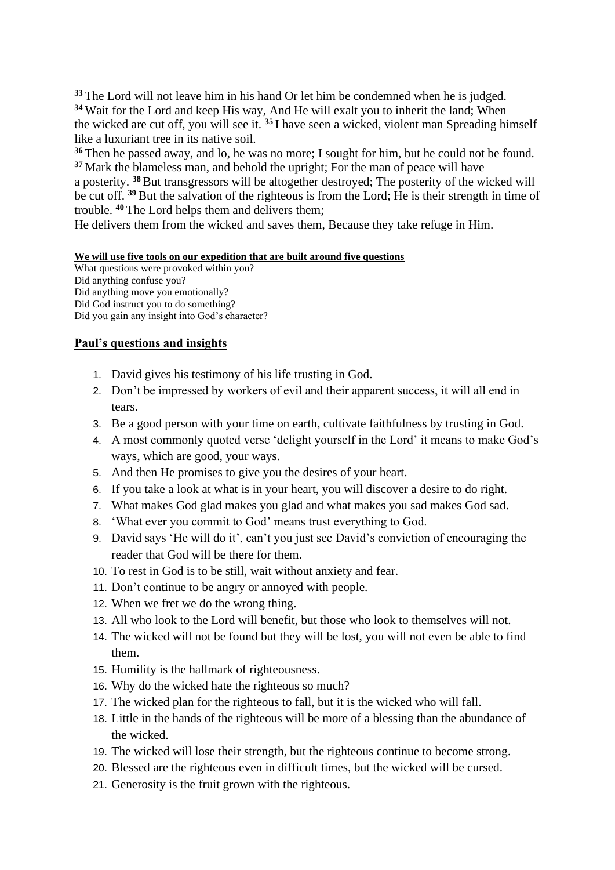**<sup>33</sup>** The Lord will not leave him in his hand Or let him be condemned when he is judged. **<sup>34</sup>** Wait for the Lord and keep His way, And He will exalt you to inherit the land; When the wicked are cut off, you will see it. **<sup>35</sup>** I have seen a wicked, violent man Spreading himself like a luxuriant tree in its native soil.

**<sup>36</sup>** Then he passed away, and lo, he was no more; I sought for him, but he could not be found. **<sup>37</sup>** Mark the blameless man, and behold the upright; For the man of peace will have a posterity. **<sup>38</sup>**But transgressors will be altogether destroyed; The posterity of the wicked will be cut off. **<sup>39</sup>** But the salvation of the righteous is from the Lord; He is their strength in time of trouble. **<sup>40</sup>** The Lord helps them and delivers them;

He delivers them from the wicked and saves them, Because they take refuge in Him.

## **We will use five tools on our expedition that are built around five questions**

What questions were provoked within you? Did anything confuse you? Did anything move you emotionally? Did God instruct you to do something? Did you gain any insight into God's character?

## **Paul's questions and insights**

- 1. David gives his testimony of his life trusting in God.
- 2. Don't be impressed by workers of evil and their apparent success, it will all end in tears.
- 3. Be a good person with your time on earth, cultivate faithfulness by trusting in God.
- 4. A most commonly quoted verse 'delight yourself in the Lord' it means to make God's ways, which are good, your ways.
- 5. And then He promises to give you the desires of your heart.
- 6. If you take a look at what is in your heart, you will discover a desire to do right.
- 7. What makes God glad makes you glad and what makes you sad makes God sad.
- 8. 'What ever you commit to God' means trust everything to God.
- 9. David says 'He will do it', can't you just see David's conviction of encouraging the reader that God will be there for them.
- 10. To rest in God is to be still, wait without anxiety and fear.
- 11. Don't continue to be angry or annoyed with people.
- 12. When we fret we do the wrong thing.
- 13. All who look to the Lord will benefit, but those who look to themselves will not.
- 14. The wicked will not be found but they will be lost, you will not even be able to find them.
- 15. Humility is the hallmark of righteousness.
- 16. Why do the wicked hate the righteous so much?
- 17. The wicked plan for the righteous to fall, but it is the wicked who will fall.
- 18. Little in the hands of the righteous will be more of a blessing than the abundance of the wicked.
- 19. The wicked will lose their strength, but the righteous continue to become strong.
- 20. Blessed are the righteous even in difficult times, but the wicked will be cursed.
- 21. Generosity is the fruit grown with the righteous.